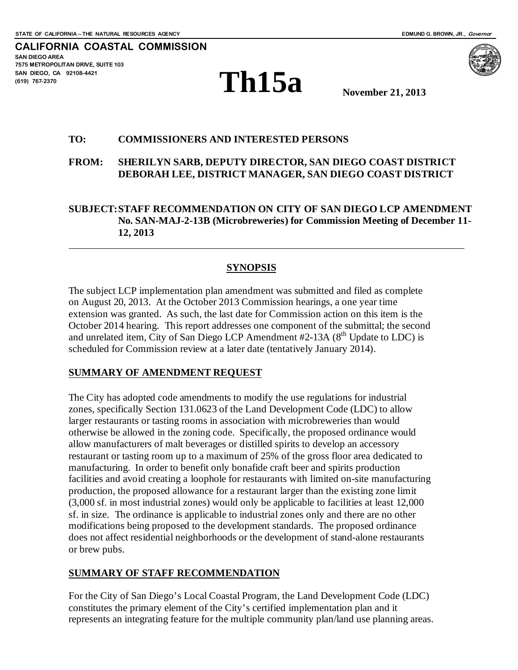**CALIFORNIA COASTAL COMMISSION SAN DIEGO AREA 7575 METROPOLITAN DRIVE, SUITE 103 SAN DIEGO, CA 92108-4421 (619) 767-2370**





**November 21, 2013**

#### **TO: COMMISSIONERS AND INTERESTED PERSONS**

#### **FROM: SHERILYN SARB, DEPUTY DIRECTOR, SAN DIEGO COAST DISTRICT DEBORAH LEE, DISTRICT MANAGER, SAN DIEGO COAST DISTRICT**

**SUBJECT:STAFF RECOMMENDATION ON CITY OF SAN DIEGO LCP AMENDMENT No. SAN-MAJ-2-13B (Microbreweries) for Commission Meeting of December 11- 12, 2013**

#### **SYNOPSIS**

The subject LCP implementation plan amendment was submitted and filed as complete on August 20, 2013. At the October 2013 Commission hearings, a one year time extension was granted. As such, the last date for Commission action on this item is the October 2014 hearing. This report addresses one component of the submittal; the second and unrelated item, City of San Diego LCP Amendment  $#2-13A$  ( $8<sup>th</sup>$  Update to LDC) is scheduled for Commission review at a later date (tentatively January 2014).

#### **SUMMARY OF AMENDMENT REQUEST**

The City has adopted code amendments to modify the use regulations for industrial zones, specifically Section 131.0623 of the Land Development Code (LDC) to allow larger restaurants or tasting rooms in association with microbreweries than would otherwise be allowed in the zoning code. Specifically, the proposed ordinance would allow manufacturers of malt beverages or distilled spirits to develop an accessory restaurant or tasting room up to a maximum of 25% of the gross floor area dedicated to manufacturing. In order to benefit only bonafide craft beer and spirits production facilities and avoid creating a loophole for restaurants with limited on-site manufacturing production, the proposed allowance for a restaurant larger than the existing zone limit (3,000 sf. in most industrial zones) would only be applicable to facilities at least 12,000 sf. in size. The ordinance is applicable to industrial zones only and there are no other modifications being proposed to the development standards. The proposed ordinance does not affect residential neighborhoods or the development of stand-alone restaurants or brew pubs.

#### **SUMMARY OF STAFF RECOMMENDATION**

For the City of San Diego's Local Coastal Program, the Land Development Code (LDC) constitutes the primary element of the City's certified implementation plan and it represents an integrating feature for the multiple community plan/land use planning areas.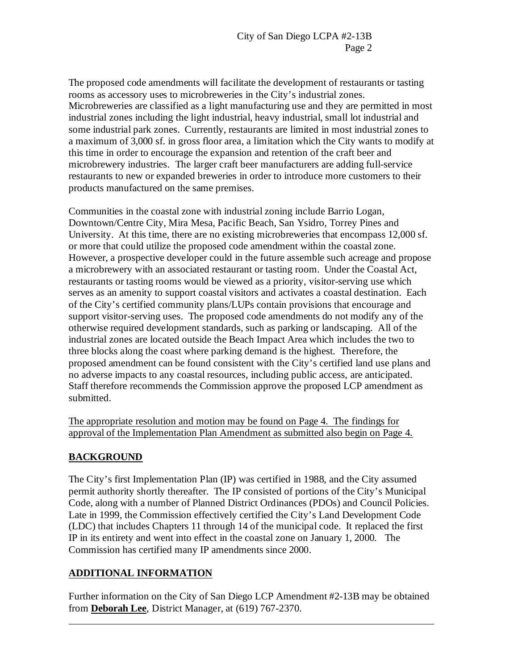The proposed code amendments will facilitate the development of restaurants or tasting rooms as accessory uses to microbreweries in the City's industrial zones. Microbreweries are classified as a light manufacturing use and they are permitted in most industrial zones including the light industrial, heavy industrial, small lot industrial and some industrial park zones. Currently, restaurants are limited in most industrial zones to a maximum of 3,000 sf. in gross floor area, a limitation which the City wants to modify at this time in order to encourage the expansion and retention of the craft beer and microbrewery industries. The larger craft beer manufacturers are adding full-service restaurants to new or expanded breweries in order to introduce more customers to their products manufactured on the same premises.

Communities in the coastal zone with industrial zoning include Barrio Logan, Downtown/Centre City, Mira Mesa, Pacific Beach, San Ysidro, Torrey Pines and University. At this time, there are no existing microbreweries that encompass 12,000 sf. or more that could utilize the proposed code amendment within the coastal zone. However, a prospective developer could in the future assemble such acreage and propose a microbrewery with an associated restaurant or tasting room. Under the Coastal Act, restaurants or tasting rooms would be viewed as a priority, visitor-serving use which serves as an amenity to support coastal visitors and activates a coastal destination. Each of the City's certified community plans/LUPs contain provisions that encourage and support visitor-serving uses. The proposed code amendments do not modify any of the otherwise required development standards, such as parking or landscaping. All of the industrial zones are located outside the Beach Impact Area which includes the two to three blocks along the coast where parking demand is the highest. Therefore, the proposed amendment can be found consistent with the City's certified land use plans and no adverse impacts to any coastal resources, including public access, are anticipated. Staff therefore recommends the Commission approve the proposed LCP amendment as submitted.

The appropriate resolution and motion may be found on Page 4. The findings for approval of the Implementation Plan Amendment as submitted also begin on Page 4.

# **BACKGROUND**

The City's first Implementation Plan (IP) was certified in 1988, and the City assumed permit authority shortly thereafter. The IP consisted of portions of the City's Municipal Code, along with a number of Planned District Ordinances (PDOs) and Council Policies. Late in 1999, the Commission effectively certified the City's Land Development Code (LDC) that includes Chapters 11 through 14 of the municipal code. It replaced the first IP in its entirety and went into effect in the coastal zone on January 1, 2000. The Commission has certified many IP amendments since 2000.

# **ADDITIONAL INFORMATION**

Further information on the City of San Diego LCP Amendment #2-13B may be obtained from **Deborah Lee**, District Manager, at (619) 767-2370.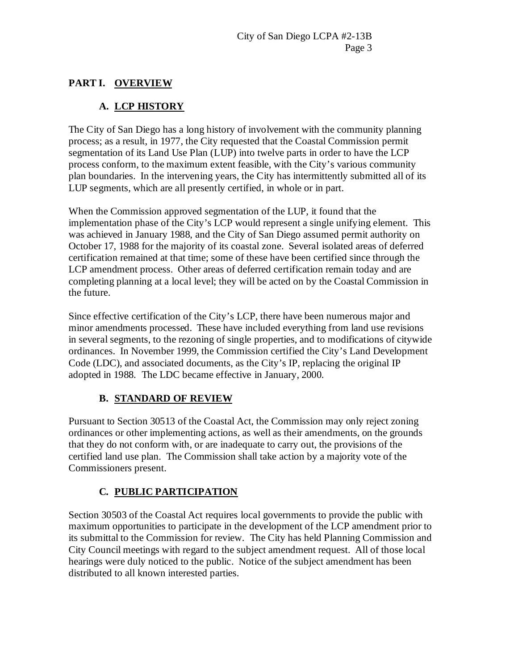# **PART I. OVERVIEW**

# **A. LCP HISTORY**

The City of San Diego has a long history of involvement with the community planning process; as a result, in 1977, the City requested that the Coastal Commission permit segmentation of its Land Use Plan (LUP) into twelve parts in order to have the LCP process conform, to the maximum extent feasible, with the City's various community plan boundaries. In the intervening years, the City has intermittently submitted all of its LUP segments, which are all presently certified, in whole or in part.

When the Commission approved segmentation of the LUP, it found that the implementation phase of the City's LCP would represent a single unifying element. This was achieved in January 1988, and the City of San Diego assumed permit authority on October 17, 1988 for the majority of its coastal zone. Several isolated areas of deferred certification remained at that time; some of these have been certified since through the LCP amendment process. Other areas of deferred certification remain today and are completing planning at a local level; they will be acted on by the Coastal Commission in the future.

Since effective certification of the City's LCP, there have been numerous major and minor amendments processed. These have included everything from land use revisions in several segments, to the rezoning of single properties, and to modifications of citywide ordinances. In November 1999, the Commission certified the City's Land Development Code (LDC), and associated documents, as the City's IP, replacing the original IP adopted in 1988. The LDC became effective in January, 2000.

# **B. STANDARD OF REVIEW**

Pursuant to Section 30513 of the Coastal Act, the Commission may only reject zoning ordinances or other implementing actions, as well as their amendments, on the grounds that they do not conform with, or are inadequate to carry out, the provisions of the certified land use plan. The Commission shall take action by a majority vote of the Commissioners present.

# **C. PUBLIC PARTICIPATION**

Section 30503 of the Coastal Act requires local governments to provide the public with maximum opportunities to participate in the development of the LCP amendment prior to its submittal to the Commission for review. The City has held Planning Commission and City Council meetings with regard to the subject amendment request. All of those local hearings were duly noticed to the public. Notice of the subject amendment has been distributed to all known interested parties.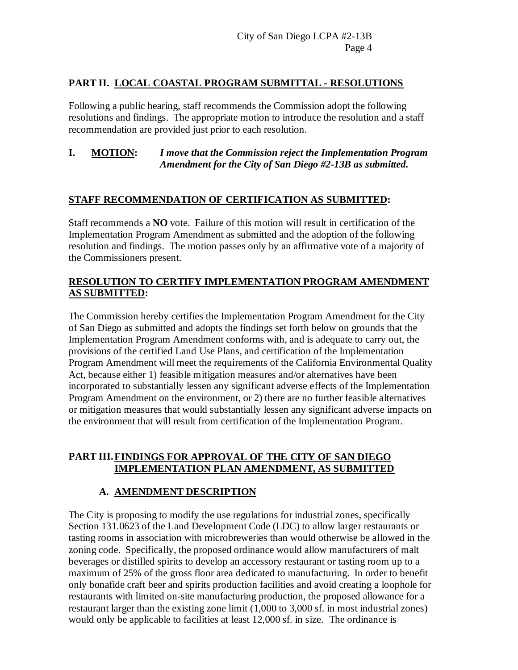## **PART II. LOCAL COASTAL PROGRAM SUBMITTAL - RESOLUTIONS**

Following a public hearing, staff recommends the Commission adopt the following resolutions and findings. The appropriate motion to introduce the resolution and a staff recommendation are provided just prior to each resolution.

### **I. MOTION:** *I move that the Commission reject the Implementation Program Amendment for the City of San Diego #2-13B as submitted.*

### **STAFF RECOMMENDATION OF CERTIFICATION AS SUBMITTED:**

Staff recommends a **NO** vote. Failure of this motion will result in certification of the Implementation Program Amendment as submitted and the adoption of the following resolution and findings. The motion passes only by an affirmative vote of a majority of the Commissioners present.

## **RESOLUTION TO CERTIFY IMPLEMENTATION PROGRAM AMENDMENT AS SUBMITTED:**

The Commission hereby certifies the Implementation Program Amendment for the City of San Diego as submitted and adopts the findings set forth below on grounds that the Implementation Program Amendment conforms with, and is adequate to carry out, the provisions of the certified Land Use Plans, and certification of the Implementation Program Amendment will meet the requirements of the California Environmental Quality Act, because either 1) feasible mitigation measures and/or alternatives have been incorporated to substantially lessen any significant adverse effects of the Implementation Program Amendment on the environment, or 2) there are no further feasible alternatives or mitigation measures that would substantially lessen any significant adverse impacts on the environment that will result from certification of the Implementation Program.

## **PART III.FINDINGS FOR APPROVAL OF THE CITY OF SAN DIEGO IMPLEMENTATION PLAN AMENDMENT, AS SUBMITTED**

# **A. AMENDMENT DESCRIPTION**

The City is proposing to modify the use regulations for industrial zones, specifically Section 131.0623 of the Land Development Code (LDC) to allow larger restaurants or tasting rooms in association with microbreweries than would otherwise be allowed in the zoning code. Specifically, the proposed ordinance would allow manufacturers of malt beverages or distilled spirits to develop an accessory restaurant or tasting room up to a maximum of 25% of the gross floor area dedicated to manufacturing. In order to benefit only bonafide craft beer and spirits production facilities and avoid creating a loophole for restaurants with limited on-site manufacturing production, the proposed allowance for a restaurant larger than the existing zone limit (1,000 to 3,000 sf. in most industrial zones) would only be applicable to facilities at least 12,000 sf. in size. The ordinance is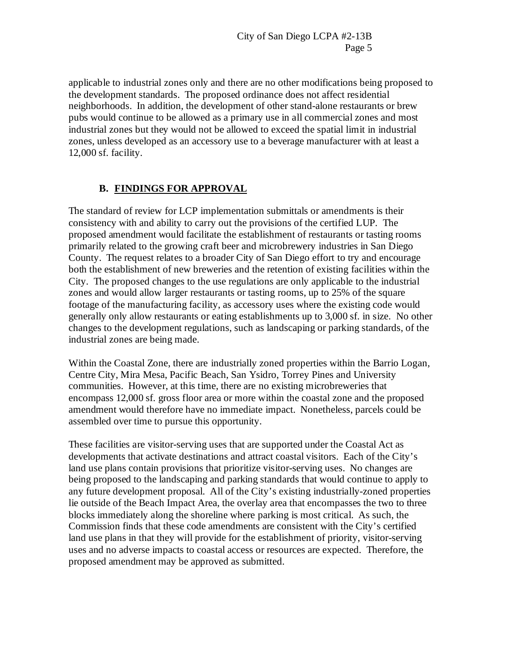applicable to industrial zones only and there are no other modifications being proposed to the development standards. The proposed ordinance does not affect residential neighborhoods. In addition, the development of other stand-alone restaurants or brew pubs would continue to be allowed as a primary use in all commercial zones and most industrial zones but they would not be allowed to exceed the spatial limit in industrial zones, unless developed as an accessory use to a beverage manufacturer with at least a 12,000 sf. facility.

# **B. FINDINGS FOR APPROVAL**

The standard of review for LCP implementation submittals or amendments is their consistency with and ability to carry out the provisions of the certified LUP. The proposed amendment would facilitate the establishment of restaurants or tasting rooms primarily related to the growing craft beer and microbrewery industries in San Diego County. The request relates to a broader City of San Diego effort to try and encourage both the establishment of new breweries and the retention of existing facilities within the City. The proposed changes to the use regulations are only applicable to the industrial zones and would allow larger restaurants or tasting rooms, up to 25% of the square footage of the manufacturing facility, as accessory uses where the existing code would generally only allow restaurants or eating establishments up to 3,000 sf. in size. No other changes to the development regulations, such as landscaping or parking standards, of the industrial zones are being made.

Within the Coastal Zone, there are industrially zoned properties within the Barrio Logan, Centre City, Mira Mesa, Pacific Beach, San Ysidro, Torrey Pines and University communities. However, at this time, there are no existing microbreweries that encompass 12,000 sf. gross floor area or more within the coastal zone and the proposed amendment would therefore have no immediate impact. Nonetheless, parcels could be assembled over time to pursue this opportunity.

These facilities are visitor-serving uses that are supported under the Coastal Act as developments that activate destinations and attract coastal visitors. Each of the City's land use plans contain provisions that prioritize visitor-serving uses. No changes are being proposed to the landscaping and parking standards that would continue to apply to any future development proposal. All of the City's existing industrially-zoned properties lie outside of the Beach Impact Area, the overlay area that encompasses the two to three blocks immediately along the shoreline where parking is most critical. As such, the Commission finds that these code amendments are consistent with the City's certified land use plans in that they will provide for the establishment of priority, visitor-serving uses and no adverse impacts to coastal access or resources are expected. Therefore, the proposed amendment may be approved as submitted.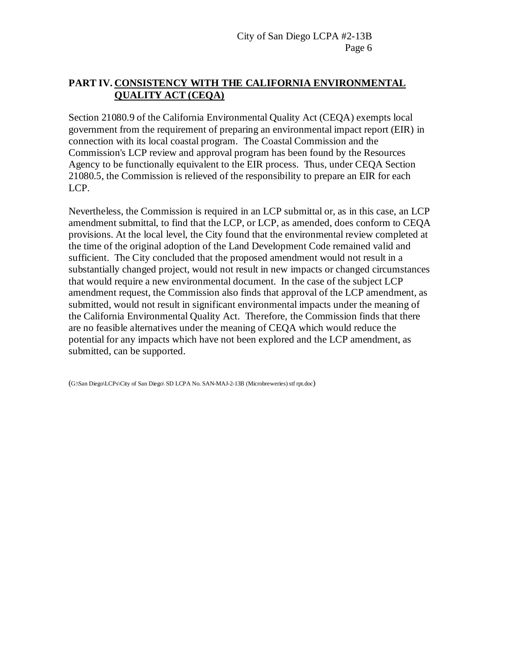## **PART IV. CONSISTENCY WITH THE CALIFORNIA ENVIRONMENTAL QUALITY ACT (CEQA)**

Section 21080.9 of the California Environmental Quality Act (CEQA) exempts local government from the requirement of preparing an environmental impact report (EIR) in connection with its local coastal program. The Coastal Commission and the Commission's LCP review and approval program has been found by the Resources Agency to be functionally equivalent to the EIR process. Thus, under CEQA Section 21080.5, the Commission is relieved of the responsibility to prepare an EIR for each LCP.

Nevertheless, the Commission is required in an LCP submittal or, as in this case, an LCP amendment submittal, to find that the LCP, or LCP, as amended, does conform to CEQA provisions. At the local level, the City found that the environmental review completed at the time of the original adoption of the Land Development Code remained valid and sufficient. The City concluded that the proposed amendment would not result in a substantially changed project, would not result in new impacts or changed circumstances that would require a new environmental document. In the case of the subject LCP amendment request, the Commission also finds that approval of the LCP amendment, as submitted, would not result in significant environmental impacts under the meaning of the California Environmental Quality Act. Therefore, the Commission finds that there are no feasible alternatives under the meaning of CEQA which would reduce the potential for any impacts which have not been explored and the LCP amendment, as submitted, can be supported.

(G:\San Diego\LCPs\City of San Diego\ SD LCPA No. SAN-MAJ-2-13B (Microbreweries) stf rpt.doc)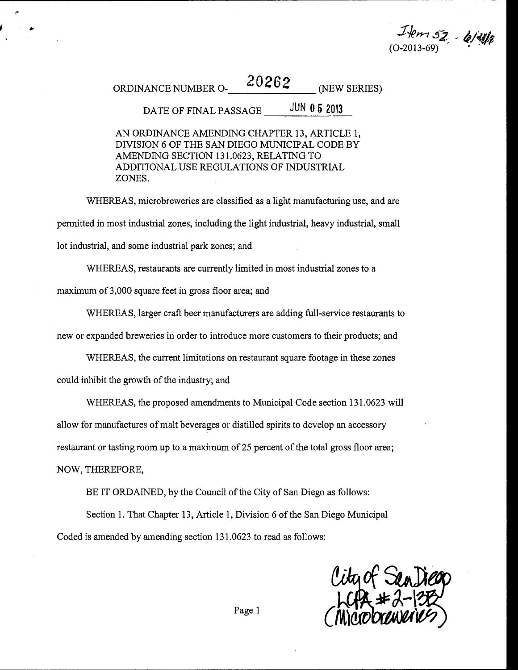Ikm 57 - 6/41<br>0-2013-69)

ORDINANCE NUMBER  $O$ -  $20262$  (NEW SERIES)

#### **JUN 0 5 2013** DATE OF FINAL PASSAGE

AN ORDINANCE AMENDING CHAPTER 13, ARTICLE 1, DIVISION 6 OF THE SAN DIEGO MUNICIPAL CODE BY AMENDING SECTION 131.0623, RELATING TO ADDITIONAL USE REGULATIONS OF INDUSTRIAL ZONES.

WHEREAS, microbreweries are classified as a light manufacturing use, and are permitted in most industrial zones, including the light industrial, heavy industrial, small lot industrial, and some industrial park zones; and

WHEREAS, restaurants are currently limited in most industrial zones to a

maximum of 3,000 square feet in gross floor area; and

WHEREAS, larger craft beer manufacturers are adding full-service restaurants to

new or expanded breweries in order to introduce more customers to their products; and

WHEREAS, the current limitations on restaurant square footage in these zones

could inhibit the growth of the industry; and

WHEREAS, the proposed amendments to Municipal Code section 131.0623 will

allow for manufactures of malt beverages or distilled spirits to develop an accessory

restaurant or tasting room up to a maximum of 25 percent of the total gross floor area;

NOW, THEREFORE,

BE IT ORDAINED, by the Council of the City of San Diego as follows:

Section 1. That Chapter 13, Article 1, Division 6 of the San Diego Municipal Coded is amended by amending section 131.0623 to read as follows:

City of San Jieop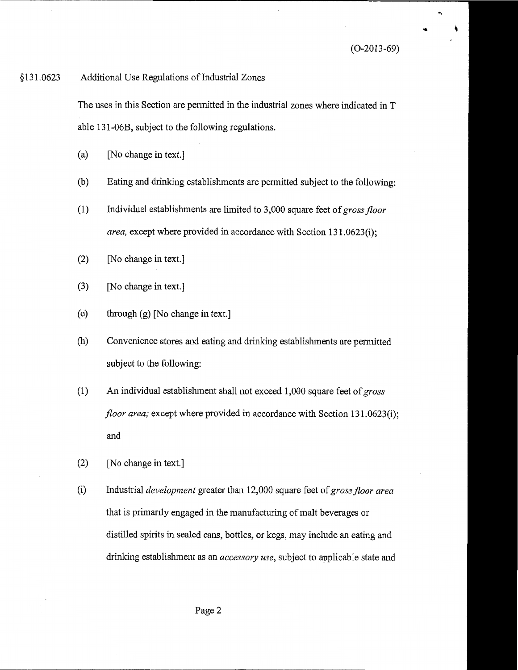#### \$131.0623 Additional Use Regulations of Industrial Zones

The uses in this Section are permitted in the industrial zones where indicated in T able 131-06B, subject to the following regulations.

- [No change in text.]  $(a)$
- $(b)$ Eating and drinking establishments are permitted subject to the following:
- $(1)$ Individual establishments are limited to 3,000 square feet of gross floor area, except where provided in accordance with Section 131.0623(i);
- $(2)$ [No change in text.]
- $(3)$ [No change in text.]
- $(c)$ through (g) [No change in text.]
- $(h)$ Convenience stores and eating and drinking establishments are permitted subject to the following:
- $(1)$ An individual establishment shall not exceed 1,000 square feet of gross floor area; except where provided in accordance with Section 131.0623(i); and
- $(2)$ [No change in text.]
- $(i)$ Industrial *development* greater than 12,000 square feet of gross floor area that is primarily engaged in the manufacturing of malt beverages or distilled spirits in sealed cans, bottles, or kegs, may include an eating and drinking establishment as an *accessory use*, subject to applicable state and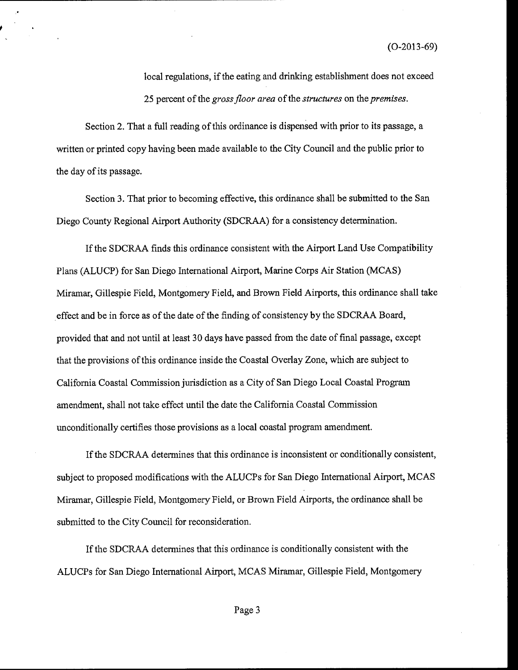$(O-2013-69)$ 

local regulations, if the eating and drinking establishment does not exceed 25 percent of the gross floor area of the structures on the premises.

Section 2. That a full reading of this ordinance is dispensed with prior to its passage, a written or printed copy having been made available to the City Council and the public prior to the day of its passage.

Section 3. That prior to becoming effective, this ordinance shall be submitted to the San Diego County Regional Airport Authority (SDCRAA) for a consistency determination.

If the SDCRAA finds this ordinance consistent with the Airport Land Use Compatibility Plans (ALUCP) for San Diego International Airport, Marine Corps Air Station (MCAS) Miramar, Gillespie Field, Montgomery Field, and Brown Field Airports, this ordinance shall take effect and be in force as of the date of the finding of consistency by the SDCRAA Board, provided that and not until at least 30 days have passed from the date of final passage, except that the provisions of this ordinance inside the Coastal Overlay Zone, which are subject to California Coastal Commission jurisdiction as a City of San Diego Local Coastal Program amendment, shall not take effect until the date the California Coastal Commission unconditionally certifies those provisions as a local coastal program amendment.

If the SDCRAA determines that this ordinance is inconsistent or conditionally consistent, subject to proposed modifications with the ALUCPs for San Diego International Airport, MCAS Miramar, Gillespie Field, Montgomery Field, or Brown Field Airports, the ordinance shall be submitted to the City Council for reconsideration.

If the SDCRAA determines that this ordinance is conditionally consistent with the ALUCPs for San Diego International Airport, MCAS Miramar, Gillespie Field, Montgomery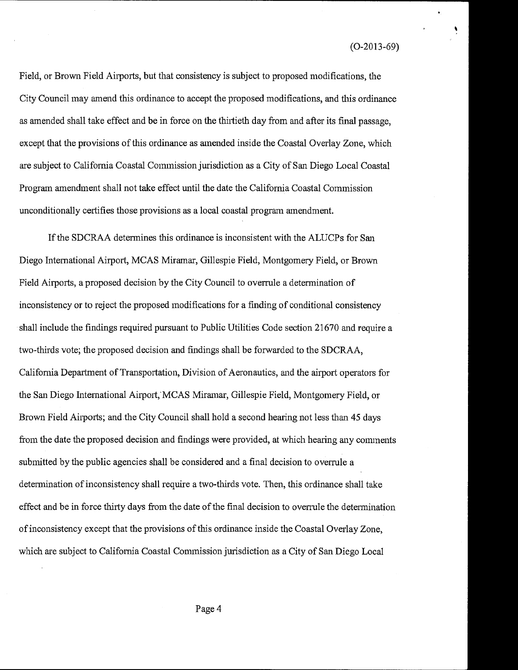$(O-2013-69)$ 

Field, or Brown Field Airports, but that consistency is subject to proposed modifications, the City Council may amend this ordinance to accept the proposed modifications, and this ordinance as amended shall take effect and be in force on the thirtieth day from and after its final passage, except that the provisions of this ordinance as amended inside the Coastal Overlay Zone, which are subject to California Coastal Commission jurisdiction as a City of San Diego Local Coastal Program amendment shall not take effect until the date the California Coastal Commission unconditionally certifies those provisions as a local coastal program amendment.

If the SDCRAA determines this ordinance is inconsistent with the ALUCPs for San Diego International Airport, MCAS Miramar, Gillespie Field, Montgomery Field, or Brown Field Airports, a proposed decision by the City Council to overrule a determination of inconsistency or to reject the proposed modifications for a finding of conditional consistency shall include the findings required pursuant to Public Utilities Code section 21670 and require a two-thirds vote; the proposed decision and findings shall be forwarded to the SDCRAA, California Department of Transportation, Division of Aeronautics, and the airport operators for the San Diego International Airport, MCAS Miramar, Gillespie Field, Montgomery Field, or Brown Field Airports; and the City Council shall hold a second hearing not less than 45 days from the date the proposed decision and findings were provided, at which hearing any comments submitted by the public agencies shall be considered and a final decision to overrule a determination of inconsistency shall require a two-thirds vote. Then, this ordinance shall take effect and be in force thirty days from the date of the final decision to overrule the determination of inconsistency except that the provisions of this ordinance inside the Coastal Overlay Zone, which are subject to California Coastal Commission jurisdiction as a City of San Diego Local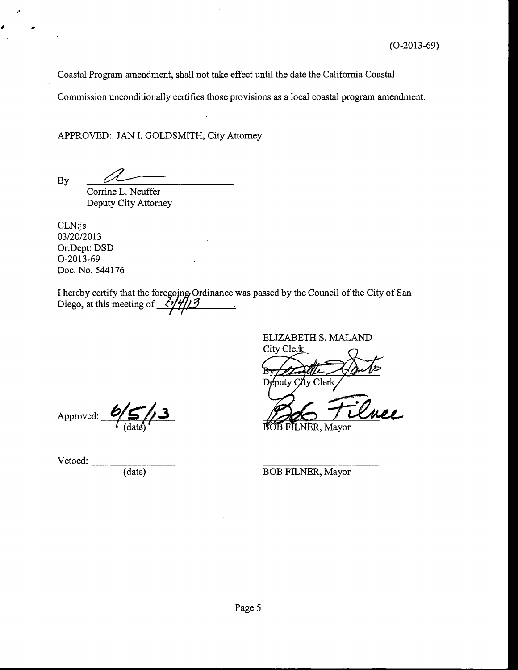Coastal Program amendment, shall not take effect until the date the California Coastal

Commission unconditionally certifies those provisions as a local coastal program amendment.

APPROVED: JAN I. GOLDSMITH, City Attorney

**By** 

Corrine L. Neuffer Deputy City Attorney

 $CLN:js$ 03/20/2013 Or.Dept: DSD O-2013-69 Doc. No. 544176

I hereby certify that the foregoing Ordinance was passed by the Council of the City of San Diego, at this meeting of  $\frac{\ell}{\ell}$ ////3

ELIZABETH S. MALAND

City Clerk Deputy City Clerk

FILNER, Mayor

Vetoed:

Approved:

 $\overline{(date)}$ 

BOB FILNER, Mayor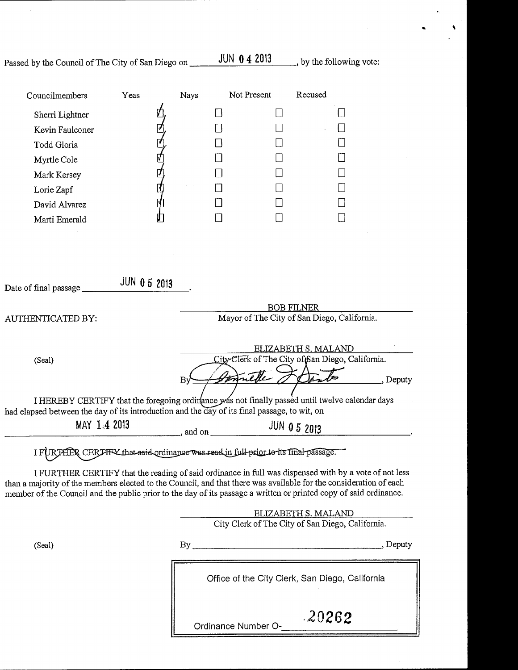| Passed by the Council of The City of San Diego on |  |  |  |  |  |  |  |
|---------------------------------------------------|--|--|--|--|--|--|--|
|---------------------------------------------------|--|--|--|--|--|--|--|

 $JUN$  0 4 2013 by the following vote:

 $\ddot{\phantom{0}}$ 

| Councilmembers                                                                                                                                                                                                                                                                                                                                  | Yeas                                             | <b>Nays</b>                                      | Not Present         | Recused                  |          |  |  |
|-------------------------------------------------------------------------------------------------------------------------------------------------------------------------------------------------------------------------------------------------------------------------------------------------------------------------------------------------|--------------------------------------------------|--------------------------------------------------|---------------------|--------------------------|----------|--|--|
| Sherri Lightner                                                                                                                                                                                                                                                                                                                                 |                                                  |                                                  |                     |                          |          |  |  |
| Kevin Faulconer                                                                                                                                                                                                                                                                                                                                 |                                                  |                                                  |                     |                          |          |  |  |
| Todd Gloria                                                                                                                                                                                                                                                                                                                                     |                                                  |                                                  |                     |                          |          |  |  |
| Myrtle Cole                                                                                                                                                                                                                                                                                                                                     |                                                  |                                                  |                     |                          |          |  |  |
| Mark Kersey                                                                                                                                                                                                                                                                                                                                     |                                                  |                                                  |                     |                          |          |  |  |
| Lorie Zapf                                                                                                                                                                                                                                                                                                                                      | ₫,                                               |                                                  |                     |                          |          |  |  |
| Þ<br>David Alvarez                                                                                                                                                                                                                                                                                                                              |                                                  |                                                  |                     |                          |          |  |  |
| Marti Emerald                                                                                                                                                                                                                                                                                                                                   |                                                  |                                                  | $\mathsf{I}$        |                          |          |  |  |
|                                                                                                                                                                                                                                                                                                                                                 |                                                  |                                                  |                     |                          |          |  |  |
|                                                                                                                                                                                                                                                                                                                                                 |                                                  |                                                  |                     |                          |          |  |  |
| Date of final passage                                                                                                                                                                                                                                                                                                                           | <b>JUN 0 5 2013</b>                              |                                                  |                     |                          |          |  |  |
|                                                                                                                                                                                                                                                                                                                                                 |                                                  |                                                  |                     | <b>BOB FILNER</b>        |          |  |  |
| AUTHENTICATED BY:                                                                                                                                                                                                                                                                                                                               | Mayor of The City of San Diego, California.      |                                                  |                     |                          |          |  |  |
|                                                                                                                                                                                                                                                                                                                                                 |                                                  |                                                  |                     |                          |          |  |  |
|                                                                                                                                                                                                                                                                                                                                                 |                                                  |                                                  |                     | ELIZABETH S. MALAND      |          |  |  |
| (Seal)                                                                                                                                                                                                                                                                                                                                          |                                                  | City-Clerk of The City of San Diego, California. |                     |                          |          |  |  |
|                                                                                                                                                                                                                                                                                                                                                 |                                                  |                                                  | net                 |                          | , Deputy |  |  |
| I HEREBY CERTIFY that the foregoing ordinance was not finally passed until twelve calendar days                                                                                                                                                                                                                                                 |                                                  |                                                  |                     |                          |          |  |  |
| had elapsed between the day of its introduction and the day of its final passage, to wit, on                                                                                                                                                                                                                                                    |                                                  |                                                  |                     |                          |          |  |  |
| MAY 1.4 2013                                                                                                                                                                                                                                                                                                                                    | , and on                                         |                                                  | <b>JUN 0 5 2013</b> |                          |          |  |  |
| I FURTHER CERTHY that said ordinance was read in full-prior to its final-passage.                                                                                                                                                                                                                                                               |                                                  |                                                  |                     |                          |          |  |  |
|                                                                                                                                                                                                                                                                                                                                                 |                                                  |                                                  |                     |                          |          |  |  |
| I FURTHER CERTIFY that the reading of said ordinance in full was dispensed with by a vote of not less<br>than a majority of the members elected to the Council, and that there was available for the consideration of each<br>member of the Council and the public prior to the day of its passage a written or printed copy of said ordinance. |                                                  |                                                  |                     |                          |          |  |  |
|                                                                                                                                                                                                                                                                                                                                                 |                                                  |                                                  |                     | ELIZABETH S. MALAND      |          |  |  |
|                                                                                                                                                                                                                                                                                                                                                 | City Clerk of The City of San Diego, California. |                                                  |                     |                          |          |  |  |
| (Seal)                                                                                                                                                                                                                                                                                                                                          |                                                  |                                                  |                     |                          |          |  |  |
|                                                                                                                                                                                                                                                                                                                                                 |                                                  |                                                  |                     |                          |          |  |  |
|                                                                                                                                                                                                                                                                                                                                                 |                                                  | Office of the City Clerk, San Diego, California  |                     |                          |          |  |  |
|                                                                                                                                                                                                                                                                                                                                                 |                                                  |                                                  |                     | Ordinance Number O-20262 |          |  |  |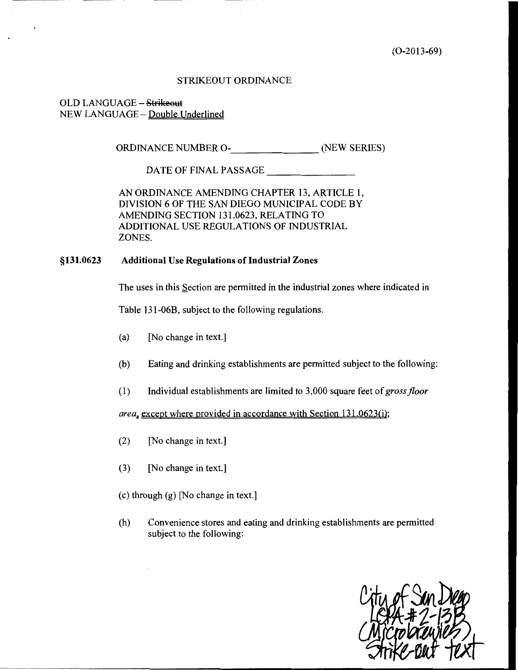$(O-2013-69)$ 

#### **STRIKEOUT ORDINANCE**

#### OLD LANGUAGE - Strikeout NEW LANGUAGE - Double Underlined

ORDINANCE NUMBER O- (NEW SERIES)

DATE OF FINAL PASSAGE

AN ORDINANCE AMENDING CHAPTER 13, ARTICLE 1, DIVISION 6 OF THE SAN DIEGO MUNICIPAL CODE BY AMENDING SECTION 131.0623, RELATING TO ADDITIONAL USE REGULATIONS OF INDUSTRIAL ZONES.

#### §131.0623 **Additional Use Regulations of Industrial Zones**

The uses in this Section are permitted in the industrial zones where indicated in

Table 131-06B, subject to the following regulations.

- [No change in text.]  $(a)$
- Eating and drinking establishments are permitted subject to the following: (b)
- Individual establishments are limited to 3,000 square feet of gross floor  $(1)$

area, except where provided in accordance with Section 131.0623(i);

- $(2)$ [No change in text.]
- $(3)$ [No change in text.]
- (c) through (g) [No change in text.]
- $(h)$ Convenience stores and eating and drinking establishments are permitted subject to the following: